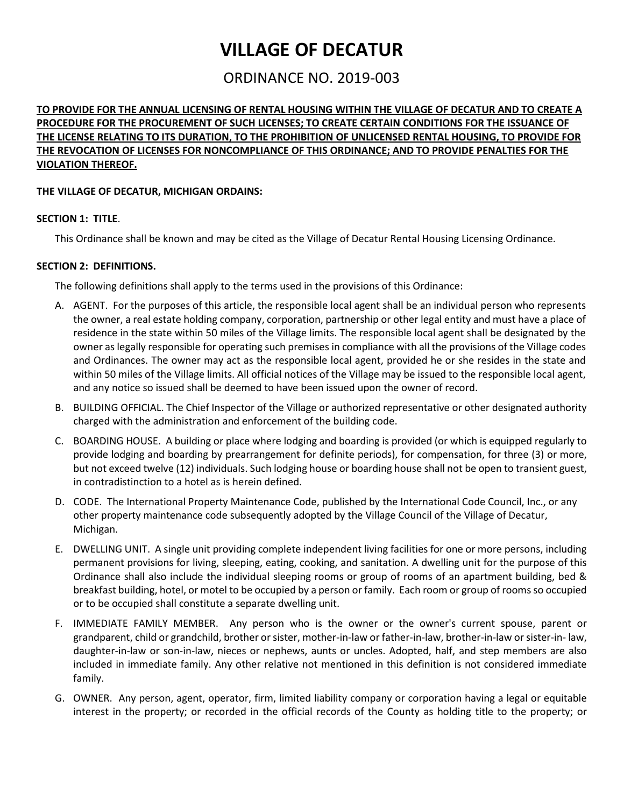# **VILLAGE OF DECATUR**

# ORDINANCE NO. 2019-003

# **TO PROVIDE FOR THE ANNUAL LICENSING OF RENTAL HOUSING WITHIN THE VILLAGE OF DECATUR AND TO CREATE A PROCEDURE FOR THE PROCUREMENT OF SUCH LICENSES; TO CREATE CERTAIN CONDITIONS FOR THE ISSUANCE OF THE LICENSE RELATING TO ITS DURATION, TO THE PROHIBITION OF UNLICENSED RENTAL HOUSING, TO PROVIDE FOR THE REVOCATION OF LICENSES FOR NONCOMPLIANCE OF THIS ORDINANCE; AND TO PROVIDE PENALTIES FOR THE VIOLATION THEREOF.**

#### **THE VILLAGE OF DECATUR, MICHIGAN ORDAINS:**

#### **SECTION 1: TITLE**.

This Ordinance shall be known and may be cited as the Village of Decatur Rental Housing Licensing Ordinance.

#### **SECTION 2: DEFINITIONS.**

The following definitions shall apply to the terms used in the provisions of this Ordinance:

- A. AGENT. For the purposes of this article, the responsible local agent shall be an individual person who represents the owner, a real estate holding company, corporation, partnership or other legal entity and must have a place of residence in the state within 50 miles of the Village limits. The responsible local agent shall be designated by the owner as legally responsible for operating such premises in compliance with all the provisions of the Village codes and Ordinances. The owner may act as the responsible local agent, provided he or she resides in the state and within 50 miles of the Village limits. All official notices of the Village may be issued to the responsible local agent, and any notice so issued shall be deemed to have been issued upon the owner of record.
- B. BUILDING OFFICIAL. The Chief Inspector of the Village or authorized representative or other designated authority charged with the administration and enforcement of the building code.
- C. BOARDING HOUSE. A building or place where lodging and boarding is provided (or which is equipped regularly to provide lodging and boarding by prearrangement for definite periods), for compensation, for three (3) or more, but not exceed twelve (12) individuals. Such lodging house or boarding house shall not be open to transient guest, in contradistinction to a hotel as is herein defined.
- D. CODE. The International Property Maintenance Code, published by the International Code Council, Inc., or any other property maintenance code subsequently adopted by the Village Council of the Village of Decatur, Michigan.
- E. DWELLING UNIT. A single unit providing complete independent living facilities for one or more persons, including permanent provisions for living, sleeping, eating, cooking, and sanitation. A dwelling unit for the purpose of this Ordinance shall also include the individual sleeping rooms or group of rooms of an apartment building, bed & breakfast building, hotel, or motel to be occupied by a person or family. Each room or group of rooms so occupied or to be occupied shall constitute a separate dwelling unit.
- F. IMMEDIATE FAMILY MEMBER. Any person who is the owner or the owner's current spouse, parent or grandparent, child or grandchild, brother or sister, mother-in-law or father-in-law, brother-in-law or sister-in- law, daughter-in-law or son-in-law, nieces or nephews, aunts or uncles. Adopted, half, and step members are also included in immediate family. Any other relative not mentioned in this definition is not considered immediate family.
- G. OWNER. Any person, agent, operator, firm, limited liability company or corporation having a legal or equitable interest in the property; or recorded in the official records of the County as holding title to the property; or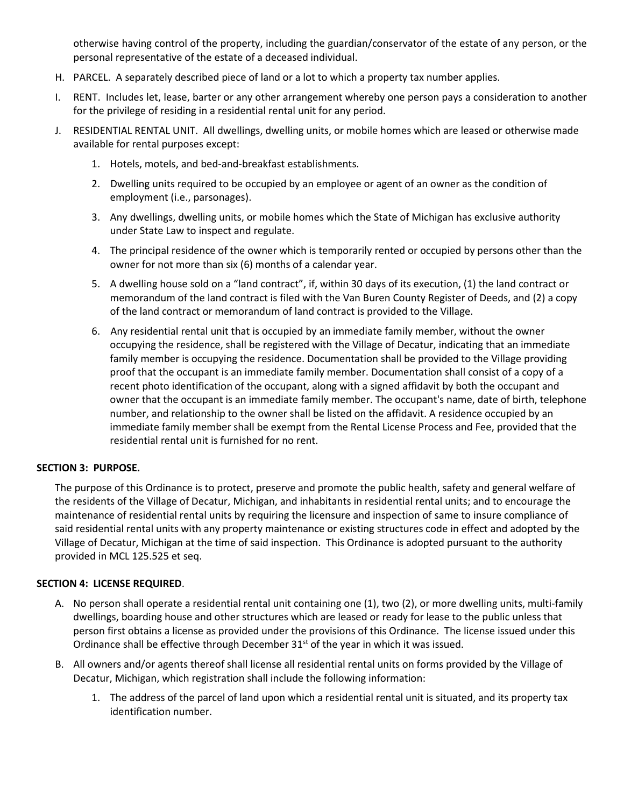otherwise having control of the property, including the guardian/conservator of the estate of any person, or the personal representative of the estate of a deceased individual.

- H. PARCEL. A separately described piece of land or a lot to which a property tax number applies.
- I. RENT. Includes let, lease, barter or any other arrangement whereby one person pays a consideration to another for the privilege of residing in a residential rental unit for any period.
- J. RESIDENTIAL RENTAL UNIT. All dwellings, dwelling units, or mobile homes which are leased or otherwise made available for rental purposes except:
	- 1. Hotels, motels, and bed-and-breakfast establishments.
	- 2. Dwelling units required to be occupied by an employee or agent of an owner as the condition of employment (i.e., parsonages).
	- 3. Any dwellings, dwelling units, or mobile homes which the State of Michigan has exclusive authority under State Law to inspect and regulate.
	- 4. The principal residence of the owner which is temporarily rented or occupied by persons other than the owner for not more than six (6) months of a calendar year.
	- 5. A dwelling house sold on a "land contract", if, within 30 days of its execution, (1) the land contract or memorandum of the land contract is filed with the Van Buren County Register of Deeds, and (2) a copy of the land contract or memorandum of land contract is provided to the Village.
	- 6. Any residential rental unit that is occupied by an immediate family member, without the owner occupying the residence, shall be registered with the Village of Decatur, indicating that an immediate family member is occupying the residence. Documentation shall be provided to the Village providing proof that the occupant is an immediate family member. Documentation shall consist of a copy of a recent photo identification of the occupant, along with a signed affidavit by both the occupant and owner that the occupant is an immediate family member. The occupant's name, date of birth, telephone number, and relationship to the owner shall be listed on the affidavit. A residence occupied by an immediate family member shall be exempt from the Rental License Process and Fee, provided that the residential rental unit is furnished for no rent.

#### **SECTION 3: PURPOSE.**

The purpose of this Ordinance is to protect, preserve and promote the public health, safety and general welfare of the residents of the Village of Decatur, Michigan, and inhabitants in residential rental units; and to encourage the maintenance of residential rental units by requiring the licensure and inspection of same to insure compliance of said residential rental units with any property maintenance or existing structures code in effect and adopted by the Village of Decatur, Michigan at the time of said inspection. This Ordinance is adopted pursuant to the authority provided in MCL 125.525 et seq.

#### **SECTION 4: LICENSE REQUIRED**.

- A. No person shall operate a residential rental unit containing one (1), two (2), or more dwelling units, multi-family dwellings, boarding house and other structures which are leased or ready for lease to the public unless that person first obtains a license as provided under the provisions of this Ordinance. The license issued under this Ordinance shall be effective through December  $31^{st}$  of the year in which it was issued.
- B. All owners and/or agents thereof shall license all residential rental units on forms provided by the Village of Decatur, Michigan, which registration shall include the following information:
	- 1. The address of the parcel of land upon which a residential rental unit is situated, and its property tax identification number.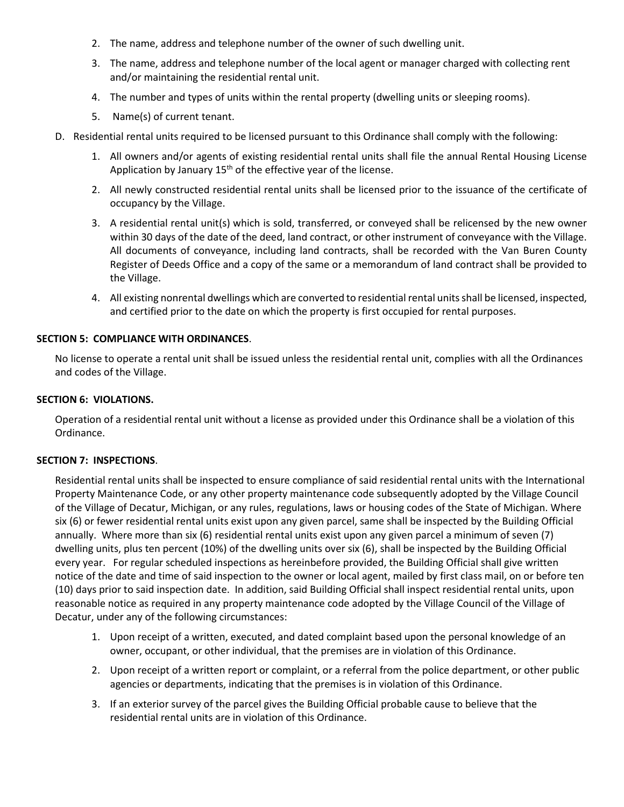- 2. The name, address and telephone number of the owner of such dwelling unit.
- 3. The name, address and telephone number of the local agent or manager charged with collecting rent and/or maintaining the residential rental unit.
- 4. The number and types of units within the rental property (dwelling units or sleeping rooms).
- 5. Name(s) of current tenant.
- D. Residential rental units required to be licensed pursuant to this Ordinance shall comply with the following:
	- 1. All owners and/or agents of existing residential rental units shall file the annual Rental Housing License Application by January  $15<sup>th</sup>$  of the effective year of the license.
	- 2. All newly constructed residential rental units shall be licensed prior to the issuance of the certificate of occupancy by the Village.
	- 3. A residential rental unit(s) which is sold, transferred, or conveyed shall be relicensed by the new owner within 30 days of the date of the deed, land contract, or other instrument of conveyance with the Village. All documents of conveyance, including land contracts, shall be recorded with the Van Buren County Register of Deeds Office and a copy of the same or a memorandum of land contract shall be provided to the Village.
	- 4. All existing nonrental dwellings which are converted to residential rental unitsshall be licensed, inspected, and certified prior to the date on which the property is first occupied for rental purposes.

#### **SECTION 5: COMPLIANCE WITH ORDINANCES**.

No license to operate a rental unit shall be issued unless the residential rental unit, complies with all the Ordinances and codes of the Village.

#### **SECTION 6: VIOLATIONS.**

Operation of a residential rental unit without a license as provided under this Ordinance shall be a violation of this Ordinance.

#### **SECTION 7: INSPECTIONS**.

Residential rental units shall be inspected to ensure compliance of said residential rental units with the International Property Maintenance Code, or any other property maintenance code subsequently adopted by the Village Council of the Village of Decatur, Michigan, or any rules, regulations, laws or housing codes of the State of Michigan. Where six (6) or fewer residential rental units exist upon any given parcel, same shall be inspected by the Building Official annually. Where more than six (6) residential rental units exist upon any given parcel a minimum of seven (7) dwelling units, plus ten percent (10%) of the dwelling units over six (6), shall be inspected by the Building Official every year. For regular scheduled inspections as hereinbefore provided, the Building Official shall give written notice of the date and time of said inspection to the owner or local agent, mailed by first class mail, on or before ten (10) days prior to said inspection date. In addition, said Building Official shall inspect residential rental units, upon reasonable notice as required in any property maintenance code adopted by the Village Council of the Village of Decatur, under any of the following circumstances:

- 1. Upon receipt of a written, executed, and dated complaint based upon the personal knowledge of an owner, occupant, or other individual, that the premises are in violation of this Ordinance.
- 2. Upon receipt of a written report or complaint, or a referral from the police department, or other public agencies or departments, indicating that the premises is in violation of this Ordinance.
- 3. If an exterior survey of the parcel gives the Building Official probable cause to believe that the residential rental units are in violation of this Ordinance.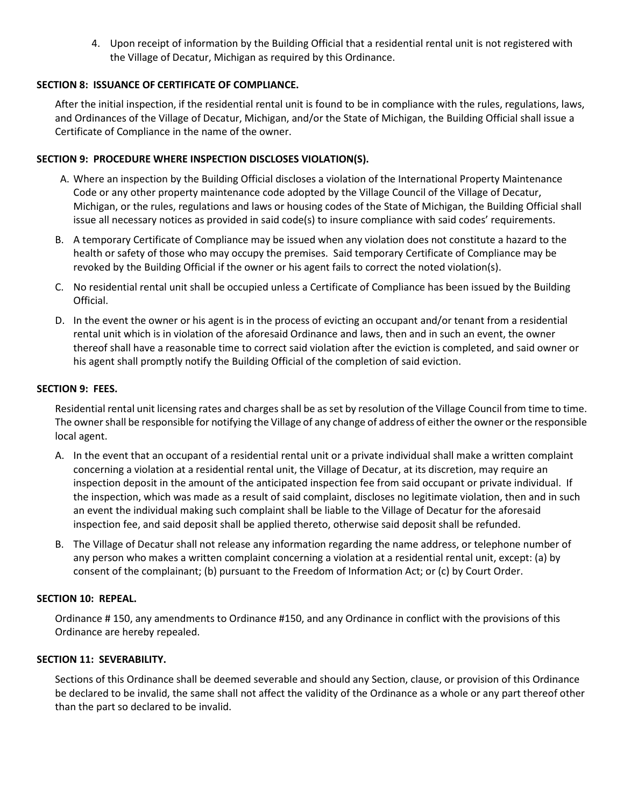4. Upon receipt of information by the Building Official that a residential rental unit is not registered with the Village of Decatur, Michigan as required by this Ordinance.

## **SECTION 8: ISSUANCE OF CERTIFICATE OF COMPLIANCE.**

After the initial inspection, if the residential rental unit is found to be in compliance with the rules, regulations, laws, and Ordinances of the Village of Decatur, Michigan, and/or the State of Michigan, the Building Official shall issue a Certificate of Compliance in the name of the owner.

## **SECTION 9: PROCEDURE WHERE INSPECTION DISCLOSES VIOLATION(S).**

- A. Where an inspection by the Building Official discloses a violation of the International Property Maintenance Code or any other property maintenance code adopted by the Village Council of the Village of Decatur, Michigan, or the rules, regulations and laws or housing codes of the State of Michigan, the Building Official shall issue all necessary notices as provided in said code(s) to insure compliance with said codes' requirements.
- B. A temporary Certificate of Compliance may be issued when any violation does not constitute a hazard to the health or safety of those who may occupy the premises. Said temporary Certificate of Compliance may be revoked by the Building Official if the owner or his agent fails to correct the noted violation(s).
- C. No residential rental unit shall be occupied unless a Certificate of Compliance has been issued by the Building Official.
- D. In the event the owner or his agent is in the process of evicting an occupant and/or tenant from a residential rental unit which is in violation of the aforesaid Ordinance and laws, then and in such an event, the owner thereof shall have a reasonable time to correct said violation after the eviction is completed, and said owner or his agent shall promptly notify the Building Official of the completion of said eviction.

#### **SECTION 9: FEES.**

Residential rental unit licensing rates and charges shall be as set by resolution of the Village Council from time to time. The owner shall be responsible for notifying the Village of any change of address of either the owner or the responsible local agent.

- A. In the event that an occupant of a residential rental unit or a private individual shall make a written complaint concerning a violation at a residential rental unit, the Village of Decatur, at its discretion, may require an inspection deposit in the amount of the anticipated inspection fee from said occupant or private individual. If the inspection, which was made as a result of said complaint, discloses no legitimate violation, then and in such an event the individual making such complaint shall be liable to the Village of Decatur for the aforesaid inspection fee, and said deposit shall be applied thereto, otherwise said deposit shall be refunded.
- B. The Village of Decatur shall not release any information regarding the name address, or telephone number of any person who makes a written complaint concerning a violation at a residential rental unit, except: (a) by consent of the complainant; (b) pursuant to the Freedom of Information Act; or (c) by Court Order.

#### **SECTION 10: REPEAL.**

Ordinance # 150, any amendments to Ordinance #150, and any Ordinance in conflict with the provisions of this Ordinance are hereby repealed.

#### **SECTION 11: SEVERABILITY.**

Sections of this Ordinance shall be deemed severable and should any Section, clause, or provision of this Ordinance be declared to be invalid, the same shall not affect the validity of the Ordinance as a whole or any part thereof other than the part so declared to be invalid.